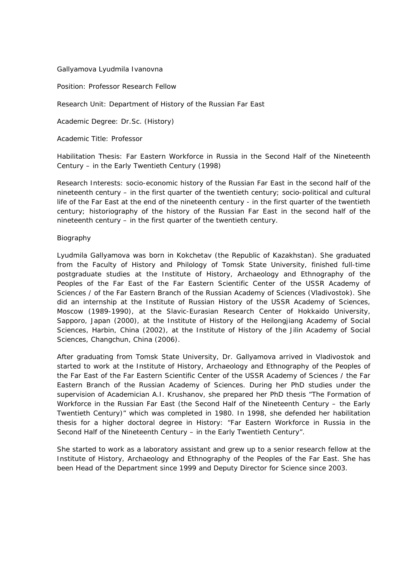## Gallyamova Lyudmila Ivanovna

Position: Professor Research Fellow

Research Unit: Department of History of the Russian Far East

Academic Degree: Dr.Sc. (History)

Academic Title: Professor

Habilitation Thesis: Far Eastern Workforce in Russia in the Second Half of the Nineteenth Century – in the Early Twentieth Century (1998)

Research Interests: socio-economic history of the Russian Far East in the second half of the nineteenth century – in the first quarter of the twentieth century; socio-political and cultural life of the Far East at the end of the nineteenth century - in the first quarter of the twentieth century; historiography of the history of the Russian Far East in the second half of the nineteenth century – in the first quarter of the twentieth century.

## Biography

Lyudmila Gallyamova was born in Kokchetav (the Republic of Kazakhstan). She graduated from the Faculty of History and Philology of Tomsk State University, finished full-time postgraduate studies at the Institute of History, Archaeology and Ethnography of the Peoples of the Far East of the Far Eastern Scientific Center of the USSR Academy of Sciences / of the Far Eastern Branch of the Russian Academy of Sciences (Vladivostok). She did an internship at the Institute of Russian History of the USSR Academy of Sciences, Moscow (1989-1990), at the Slavic-Eurasian Research Center of Hokkaido University, Sapporo, Japan (2000), at the Institute of History of the Heilongjiang Academy of Social Sciences, Harbin, China (2002), at the Institute of History of the Jilin Academy of Social Sciences, Changchun, China (2006).

After graduating from Tomsk State University, Dr. Gallyamova arrived in Vladivostok and started to work at the Institute of History, Archaeology and Ethnography of the Peoples of the Far East of the Far Eastern Scientific Center of the USSR Academy of Sciences / the Far Eastern Branch of the Russian Academy of Sciences. During her PhD studies under the supervision of Academician A.I. Krushanov, she prepared her PhD thesis "The Formation of Workforce in the Russian Far East (the Second Half of the Nineteenth Century – the Early Twentieth Century)" which was completed in 1980. In 1998, she defended her habilitation thesis for a higher doctoral degree in History: "Far Eastern Workforce in Russia in the Second Half of the Nineteenth Century – in the Early Twentieth Century".

She started to work as a laboratory assistant and grew up to a senior research fellow at the Institute of History, Archaeology and Ethnography of the Peoples of the Far East. She has been Head of the Department since 1999 and Deputy Director for Science since 2003.